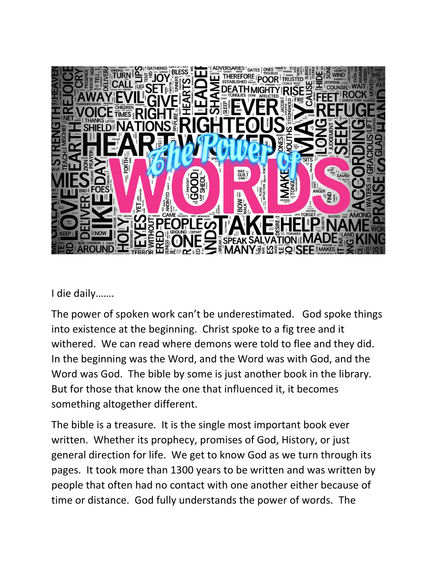

I die daily…….

The power of spoken work can't be underestimated. God spoke things into existence at the beginning. Christ spoke to a fig tree and it withered. We can read where demons were told to flee and they did. In the beginning was the Word, and the Word was with God, and the Word was God. The bible by some is just another book in the library. But for those that know the one that influenced it, it becomes something altogether different.

The bible is a treasure. It is the single most important book ever written. Whether its prophecy, promises of God, History, or just general direction for life. We get to know God as we turn through its pages. It took more than 1300 years to be written and was written by people that often had no contact with one another either because of time or distance. God fully understands the power of words. The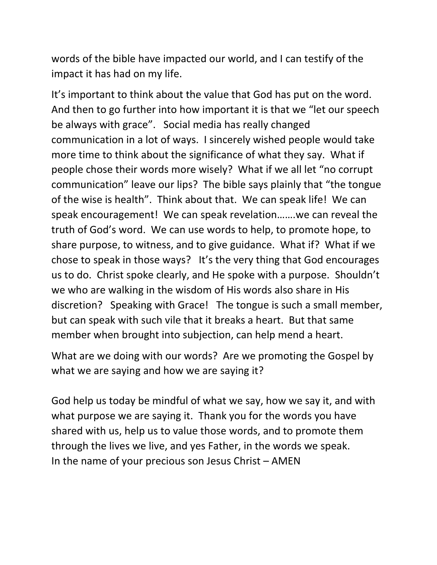words of the bible have impacted our world, and I can testify of the impact it has had on my life.

It's important to think about the value that God has put on the word. And then to go further into how important it is that we "let our speech be always with grace". Social media has really changed communication in a lot of ways. I sincerely wished people would take more time to think about the significance of what they say. What if people chose their words more wisely? What if we all let "no corrupt communication" leave our lips? The bible says plainly that "the tongue of the wise is health". Think about that. We can speak life! We can speak encouragement! We can speak revelation…….we can reveal the truth of God's word. We can use words to help, to promote hope, to share purpose, to witness, and to give guidance. What if? What if we chose to speak in those ways? It's the very thing that God encourages us to do. Christ spoke clearly, and He spoke with a purpose. Shouldn't we who are walking in the wisdom of His words also share in His discretion? Speaking with Grace! The tongue is such a small member, but can speak with such vile that it breaks a heart. But that same member when brought into subjection, can help mend a heart.

What are we doing with our words? Are we promoting the Gospel by what we are saying and how we are saying it?

God help us today be mindful of what we say, how we say it, and with what purpose we are saying it. Thank you for the words you have shared with us, help us to value those words, and to promote them through the lives we live, and yes Father, in the words we speak. In the name of your precious son Jesus Christ – AMEN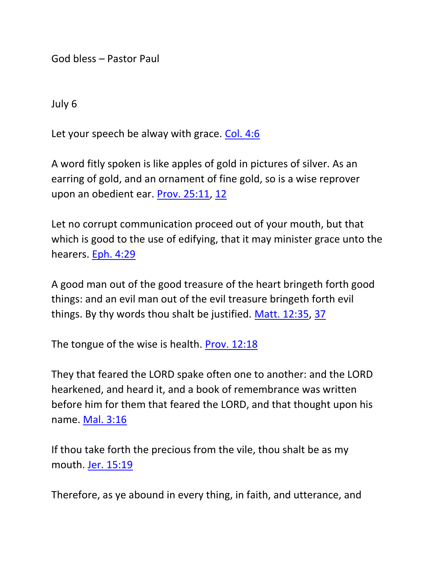God bless – Pastor Paul

July 6

Let your speech be alway with grace. [Col. 4:6](https://biblia.com/bible/nkjv/Col.%204.6)

A word fitly spoken is like apples of gold in pictures of silver. As an earring of gold, and an ornament of fine gold, so is a wise reprover upon an obedient ear. [Prov. 25:11,](https://biblia.com/bible/nkjv/Prov.%2025.11) [12](https://biblia.com/bible/nkjv/Prov%2025.12)

Let no corrupt communication proceed out of your mouth, but that which is good to the use of edifying, that it may minister grace unto the hearers. [Eph. 4:29](https://biblia.com/bible/nkjv/Eph.%204.29)

A good man out of the good treasure of the heart bringeth forth good things: and an evil man out of the evil treasure bringeth forth evil things. By thy words thou shalt be justified. [Matt. 12:35,](https://biblia.com/bible/nkjv/Matt.%2012.35) [37](https://biblia.com/bible/nkjv/Matt%2012.37)

The tongue of the wise is health. [Prov. 12:18](https://biblia.com/bible/nkjv/Prov.%2012.18)

They that feared the LORD spake often one to another: and the LORD hearkened, and heard it, and a book of remembrance was written before him for them that feared the LORD, and that thought upon his name. [Mal. 3:16](https://biblia.com/bible/nkjv/Mal.%203.16)

If thou take forth the precious from the vile, thou shalt be as my mouth. [Jer. 15:19](https://biblia.com/bible/nkjv/Jer.%2015.19)

Therefore, as ye abound in every thing, in faith, and utterance, and